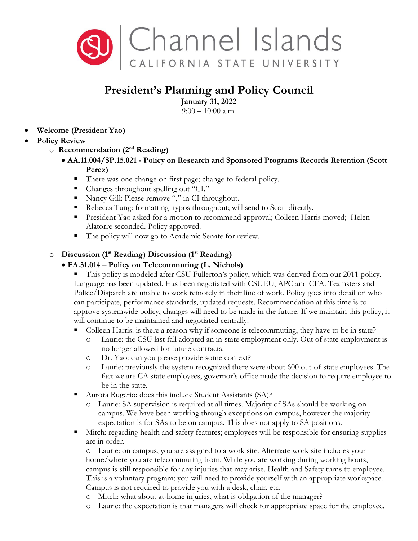

## **President's Planning and Policy Council**

**January 31, 2022** 

 $9:00 - 10:00$  a.m.

- **Welcome (President Yao)**
- **Policy Review**
	- o **Recommendation (2nd Reading)** 
		- **AA.11.004/SP.15.021 - Policy on Research and Sponsored Programs Records Retention (Scott Perez)** 
			- There was one change on first page; change to federal policy.
			- Changes throughout spelling out "CI."
			- Nancy Gill: Please remove "," in CI throughout.
			- Rebecca Tung: formatting typos throughout; will send to Scott directly.
			- **President Yao asked for a motion to recommend approval; Colleen Harris moved; Helen** Alatorre seconded. Policy approved.
			- The policy will now go to Academic Senate for review.

## o **Discussion (1st Reading) Discussion (1st Reading)**

## • **FA.31.014 – Policy on Telecommuting (L. Nichols)**

- This policy is modeled after CSU Fullerton's policy, which was derived from our 2011 policy. Language has been updated. Has been negotiated with CSUEU, APC and CFA. Teamsters and Police/Dispatch are unable to work remotely in their line of work. Policy goes into detail on who can participate, performance standards, updated requests. Recommendation at this time is to approve systemwide policy, changes will need to be made in the future. If we maintain this policy, it will continue to be maintained and negotiated centrally.
- Colleen Harris: is there a reason why if someone is telecommuting, they have to be in state?
	- o Laurie: the CSU last fall adopted an in-state employment only. Out of state employment is no longer allowed for future contracts.
	- o Dr. Yao: can you please provide some context?
	- o Laurie: previously the system recognized there were about 600 out-of-state employees. The fact we are CA state employees, governor's office made the decision to require employee to be in the state.
- Aurora Rugerio: does this include Student Assistants (SA)?
	- o Laurie: SA supervision is required at all times. Majority of SAs should be working on campus. We have been working through exceptions on campus, however the majority expectation is for SAs to be on campus. This does not apply to SA positions.
- Mitch: regarding health and safety features; employees will be responsible for ensuring supplies are in order.

o Laurie: on campus, you are assigned to a work site. Alternate work site includes your home/where you are telecommuting from. While you are working during working hours, campus is still responsible for any injuries that may arise. Health and Safety turns to employee. This is a voluntary program; you will need to provide yourself with an appropriate workspace. Campus is not required to provide you with a desk, chair, etc.

- o Mitch: what about at-home injuries, what is obligation of the manager?
- o Laurie: the expectation is that managers will check for appropriate space for the employee.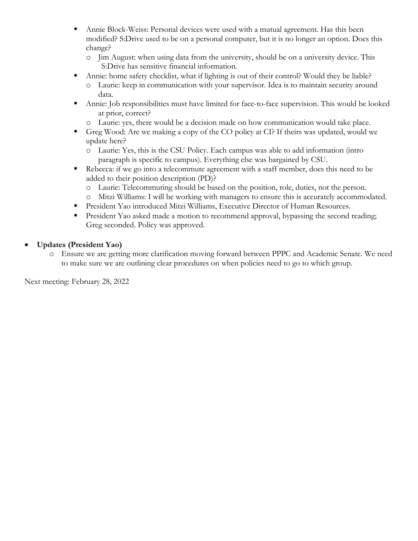- Annie Block-Weiss: Personal devices were used with a mutual agreement. Has this been modified? S:Drive used to be on a personal computer, but it is no longer an option. Does this change?
	- o Jim August: when using data from the university, should be on a university device. This S:Drive has sensitive financial information.
- Annie: home safety checklist, what if lighting is out of their control? Would they be liable?
	- o Laurie: keep in communication with your supervisor. Idea is to maintain security around data.
- Annie: Job responsibilities must have limited for face-to-face supervision. This would be looked at prior, correct?
	- o Laurie: yes, there would be a decision made on how communication would take place.
- Greg Wood: Are we making a copy of the CO policy at CI? If theirs was updated, would we update here?
	- o Laurie: Yes, this is the CSU Policy. Each campus was able to add information (intro paragraph is specific to campus). Everything else was bargained by CSU.
- Rebecca: if we go into a telecommute agreement with a staff member, does this need to be added to their position description (PD)?
	- o Laurie: Telecommuting should be based on the position, role, duties, not the person.
	- o Mitzi Williams: I will be working with managers to ensure this is accurately accommodated.
- President Yao introduced Mitzi Williams, Executive Director of Human Resources.
- **President Yao asked made a motion to recommend approval, bypassing the second reading;** Greg seconded. Policy was approved.
- **Updates (President Yao)**
	- o Ensure we are getting more clarification moving forward between PPPC and Academic Senate. We need to make sure we are outlining clear procedures on when policies need to go to which group.

Next meeting: February 28, 2022